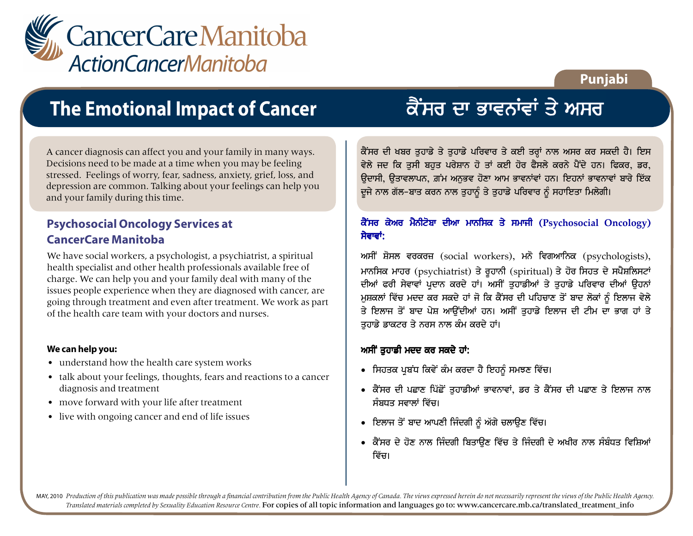

### **Punjabi**

## **The Emotional Impact of Cancer**

A cancer diagnosis can affect you and your family in many ways. Decisions need to be made at a time when you may be feeling stressed. Feelings of worry, fear, sadness, anxiety, grief, loss, and depression are common. Talking about your feelings can help you and your family during this time.

### **Psychosocial Oncology Services at CancerCare Manitoba**

We have social workers, a psychologist, a psychiatrist, a spiritual health specialist and other health professionals available free of charge. We can help you and your family deal with many of the issues people experience when they are diagnosed with cancer, are going through treatment and even after treatment. We work as part of the health care team with your doctors and nurses.

#### **We can help you:**

- understand how the health care system works
- talk about your feelings, thoughts, fears and reactions to a cancer diagnosis and treatment
- move forward with your life after treatment
- live with ongoing cancer and end of life issues

# ਕੈਂਸਰ ਦਾ ਭਾਵਨਾਂਵਾਂ ਤੇ ਅਸਰ

ਕੈਂਸਰ ਦੀ ਖਬਰ ਤੁਹਾਡੇ ਤੇ ਤੁਹਾਡੇ ਪਰਿਵਾਰ ਤੇ ਕਈ ਤਰ੍ਹਾਂ ਨਾਲ ਅਸਰ ਕਰ ਸਕਦੀ ਹੈ। ਇਸ ਵੇਲੇ ਜਦ ਕਿ ਤਸੀ ਬਹਤ ਪਰੇਸ਼ਾਨ ਹੋ ਤਾਂ ਕਈ ਹੋਰ ਫੈਸਲੇ ਕਰਨੇ ਪੈਂਦੇ ਹਨ। ਫਿਕਰ, ਡਰ, ਉਦਾਸੀ, ਉਤਾਵਲਾਪਨ, ਗ਼ਮ ਅਨਭਵ ਹੋਣਾ ਆਮ ਭਾਵਨਾਂਵਾਂ ਹਨ। ਇਹਨਾਂ ਭਾਵਨਾਵਾਂ ਬਾਰੇ ਇੱਕ ਦੂਜੇ ਨਾਲ ਗੱਲ-ਬਾਤ ਕਰਨ ਨਾਲ ਤੁਹਾਨੂੰ ਤੇ ਤੁਹਾਡੇ ਪਰਿਵਾਰ ਨੂੰ ਸਹਾਇਤਾ ਮਿਲੇਗੀ।

### ਕੈਂਸਰ ਕੇਅਰ ਮੈਨੀਟੋਬਾ ਦੀਆ ਮਾਨਸਿਕ ਤੇ ਸਮਾਜੀ (Psychosocial Oncology) ਸੇਵਾਵਾਂ:

ਅਸੀਂ ਸ਼ੋਸਲ ਵਰਕਰਜ਼ (social workers), ਮਨੋ ਵਿਗਆਨਿਕ (psychologists), ਮਾਨਸਿਕ ਮਾਹਰ (psychiatrist) ਤੇ ਰੁਹਾਨੀ (spiritual) ਤੇ ਹੋਰ ਸਿਹਤ ਦੇ ਸਪੈਸ਼ਲਿਸਟਾਂ ਦੀਆਂ ਫਰੀ ਸੇਵਾਵਾਂ ਪਦਾਨ ਕਰਦੇ ਹਾਂ। ਅਸੀਂ ਤੁਹਾਡੀਆਂ ਤੇ ਤੁਹਾਡੇ ਪਰਿਵਾਰ ਦੀਆਂ ਉਹਨਾਂ ਮੁਸ਼ਕਲਾਂ ਵਿੱਚ ਮਦਦ ਕਰ ਸਕਦੇ ਹਾਂ ਜੋ ਕਿ ਕੈਂਸਰ ਦੀ ਪਹਿਚਾਣ ਤੋਂ ਬਾਦ ਲੋਕਾਂ ਨੂੰ ਇਲਾਜ ਵੇਲੇ ਤੇ ਇਲਾਜ ਤੋਂ ਬਾਦ ਪੇਸ਼ ਆਉਂਦੀਆਂ ਹਨ। ਅਸੀਂ ਤਹਾਡੇ ਇਲਾਜ ਦੀ ਟੀਮ ਦਾ ਭਾਗ ਹਾਂ ਤੇ ਤਹਾਡੇ ਡਾਕਟਰ ਤੇ ਨਰਸ ਨਾਲ ਕੰਮ ਕਰਦੇ ਹਾਂ।

### ਅਸੀਂ ਤਹਾਡੀ ਮਦਦ ਕਰ ਸਕਦੇ ਹਾਂ:

- ਸਿਹਤਕ ਪਬੰਧ ਕਿਵੇਂ ਕੰਮ ਕਰਦਾ ਹੈ ਇਹਨੂੰ ਸਮਝਣ ਵਿੱਚ।
- ਕੈਂਸਰ ਦੀ ਪਛਾਣ ਪਿੱਛੋਂ ਤਹਾਡੀਆਂ ਭਾਵਨਾਵਾਂ, ਡਰ ਤੇ ਕੈਂਸਰ ਦੀ ਪਛਾਣ ਤੇ ਇਲਾਜ ਨਾਲ ਸੰਬਧਤ ਸਵਾਲਾਂ ਵਿੱਚ।
- ਇਲਾਜ ਤੋਂ ਬਾਦ ਆਪਣੀ ਜਿੰਦਗੀ ਨੂੰ ਅੱਗੇ ਚਲਾਉਣ ਵਿੱਚ।
- ਕੈਂਸਰ ਦੇ ਹੋਣ ਨਾਲ ਜਿੰਦਗੀ ਬਿਤਾੳਣ ਵਿੱਚ ਤੇ ਜਿੰਦਗੀ ਦੇ ਅਖੀਰ ਨਾਲ ਸੰਬੰਧਤ ਵਿਸ਼ਿਆਂ ਵਿੱਚ।

MAY, 2010 Production of this publication was made possible through a financial contribution from the Public Health Agency of Canada. The views expressed herein do not necessarily represent the views of the Public Health Ag *Translated materials completed by Sexuality Education Resource Centre.* For copies of all topic information and languages go to: www.cancercare.mb.ca/translated\_treatment\_info

Ĩ

Ļ